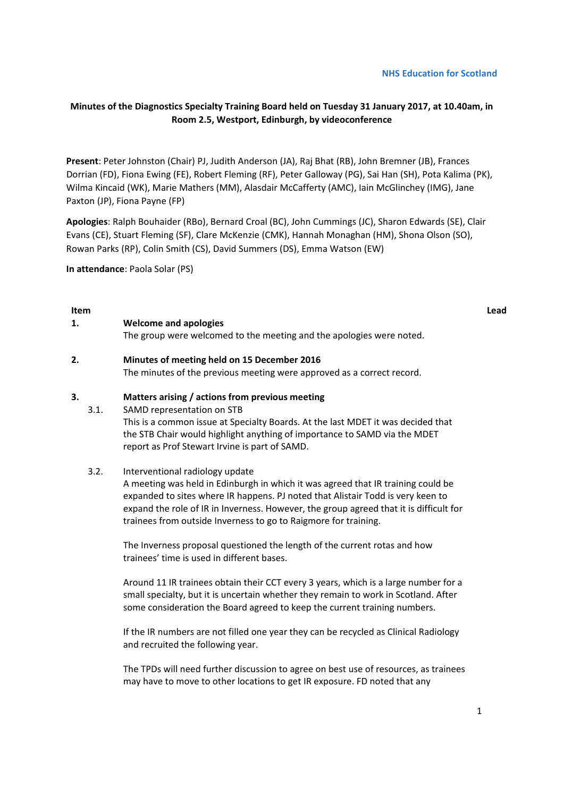### **NHS Education for Scotland**

# **Minutes of the Diagnostics Specialty Training Board held on Tuesday 31 January 2017, at 10.40am, in Room 2.5, Westport, Edinburgh, by videoconference**

**Present**: Peter Johnston (Chair) PJ, Judith Anderson (JA), Raj Bhat (RB), John Bremner (JB), Frances Dorrian (FD), Fiona Ewing (FE), Robert Fleming (RF), Peter Galloway (PG), Sai Han (SH), Pota Kalima (PK), Wilma Kincaid (WK), Marie Mathers (MM), Alasdair McCafferty (AMC), Iain McGlinchey (IMG), Jane Paxton (JP), Fiona Payne (FP)

**Apologies**: Ralph Bouhaider (RBo), Bernard Croal (BC), John Cummings (JC), Sharon Edwards (SE), Clair Evans (CE), Stuart Fleming (SF), Clare McKenzie (CMK), Hannah Monaghan (HM), Shona Olson (SO), Rowan Parks (RP), Colin Smith (CS), David Summers (DS), Emma Watson (EW)

**In attendance**: Paola Solar (PS)

### **Item Lead**

| Welcome and apologies                                                |  |  |
|----------------------------------------------------------------------|--|--|
| The group were welcomed to the meeting and the apologies were noted. |  |  |

### **2. Minutes of meeting held on 15 December 2016**

The minutes of the previous meeting were approved as a correct record.

#### **3. Matters arising / actions from previous meeting**

3.1. SAMD representation on STB This is a common issue at Specialty Boards. At the last MDET it was decided that the STB Chair would highlight anything of importance to SAMD via the MDET report as Prof Stewart Irvine is part of SAMD.

### 3.2. Interventional radiology update

A meeting was held in Edinburgh in which it was agreed that IR training could be expanded to sites where IR happens. PJ noted that Alistair Todd is very keen to expand the role of IR in Inverness. However, the group agreed that it is difficult for trainees from outside Inverness to go to Raigmore for training.

The Inverness proposal questioned the length of the current rotas and how trainees' time is used in different bases.

Around 11 IR trainees obtain their CCT every 3 years, which is a large number for a small specialty, but it is uncertain whether they remain to work in Scotland. After some consideration the Board agreed to keep the current training numbers.

If the IR numbers are not filled one year they can be recycled as Clinical Radiology and recruited the following year.

The TPDs will need further discussion to agree on best use of resources, as trainees may have to move to other locations to get IR exposure. FD noted that any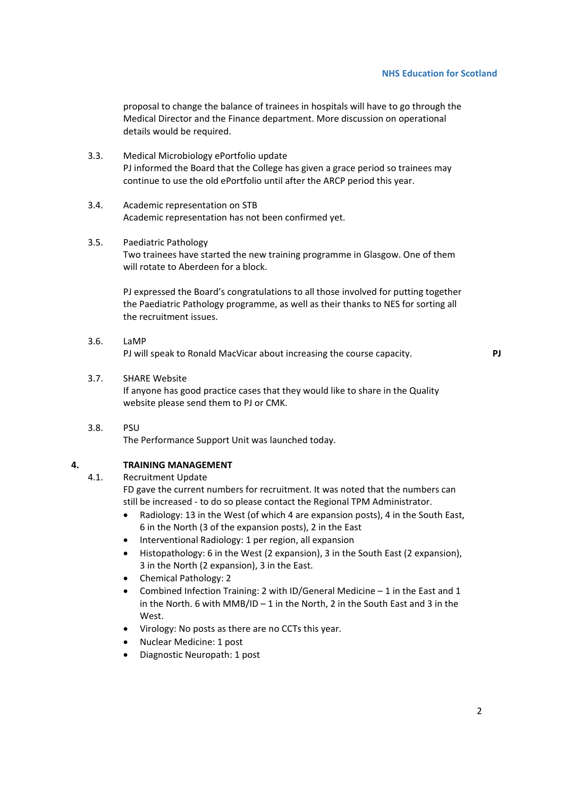proposal to change the balance of trainees in hospitals will have to go through the Medical Director and the Finance department. More discussion on operational details would be required.

- 3.3. Medical Microbiology ePortfolio update PJ informed the Board that the College has given a grace period so trainees may continue to use the old ePortfolio until after the ARCP period this year.
- 3.4. Academic representation on STB Academic representation has not been confirmed yet.
- 3.5. Paediatric Pathology Two trainees have started the new training programme in Glasgow. One of them will rotate to Aberdeen for a block.

PJ expressed the Board's congratulations to all those involved for putting together the Paediatric Pathology programme, as well as their thanks to NES for sorting all the recruitment issues.

- 3.6. LaMP PJ will speak to Ronald MacVicar about increasing the course capacity. **PJ**
	-

## 3.7. SHARE Website

If anyone has good practice cases that they would like to share in the Quality website please send them to PJ or CMK.

3.8. PSU

The Performance Support Unit was launched today.

# **4. TRAINING MANAGEMENT**

4.1. Recruitment Update

FD gave the current numbers for recruitment. It was noted that the numbers can still be increased ‐ to do so please contact the Regional TPM Administrator.

- Radiology: 13 in the West (of which 4 are expansion posts), 4 in the South East, 6 in the North (3 of the expansion posts), 2 in the East
- Interventional Radiology: 1 per region, all expansion
- Histopathology: 6 in the West (2 expansion), 3 in the South East (2 expansion), 3 in the North (2 expansion), 3 in the East.
- Chemical Pathology: 2
- Combined Infection Training: 2 with ID/General Medicine 1 in the East and 1 in the North. 6 with MMB/ID – 1 in the North, 2 in the South East and 3 in the West.
- Virology: No posts as there are no CCTs this year.
- Nuclear Medicine: 1 post
- Diagnostic Neuropath: 1 post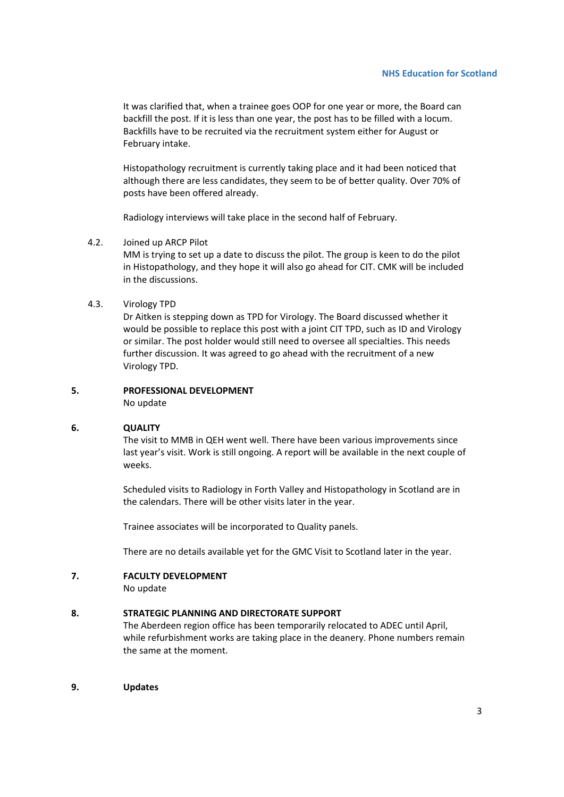It was clarified that, when a trainee goes OOP for one year or more, the Board can backfill the post. If it is less than one year, the post has to be filled with a locum. Backfills have to be recruited via the recruitment system either for August or February intake.

Histopathology recruitment is currently taking place and it had been noticed that although there are less candidates, they seem to be of better quality. Over 70% of posts have been offered already.

Radiology interviews will take place in the second half of February.

### 4.2. Joined up ARCP Pilot

MM is trying to set up a date to discuss the pilot. The group is keen to do the pilot in Histopathology, and they hope it will also go ahead for CIT. CMK will be included in the discussions.

### 4.3. Virology TPD

Dr Aitken is stepping down as TPD for Virology. The Board discussed whether it would be possible to replace this post with a joint CIT TPD, such as ID and Virology or similar. The post holder would still need to oversee all specialties. This needs further discussion. It was agreed to go ahead with the recruitment of a new Virology TPD.

### **5. PROFESSIONAL DEVELOPMENT**

No update

#### **6. QUALITY**

The visit to MMB in QEH went well. There have been various improvements since last year's visit. Work is still ongoing. A report will be available in the next couple of weeks.

Scheduled visits to Radiology in Forth Valley and Histopathology in Scotland are in the calendars. There will be other visits later in the year.

Trainee associates will be incorporated to Quality panels.

There are no details available yet for the GMC Visit to Scotland later in the year.

## **7. FACULTY DEVELOPMENT**

No update

## **8. STRATEGIC PLANNING AND DIRECTORATE SUPPORT**

The Aberdeen region office has been temporarily relocated to ADEC until April, while refurbishment works are taking place in the deanery. Phone numbers remain the same at the moment.

**9. Updates**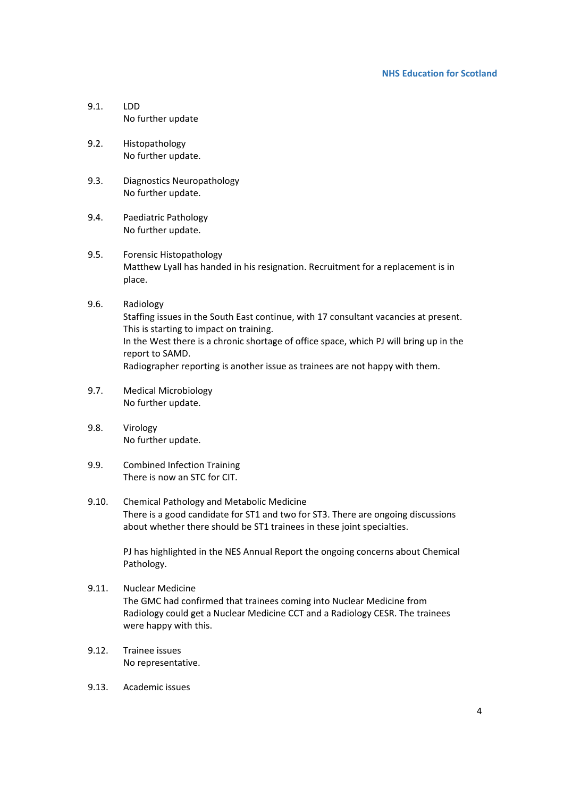## **NHS Education for Scotland**

- 9.1. LDD No further update
- 9.2. Histopathology No further update.
- 9.3. Diagnostics Neuropathology No further update.
- 9.4. Paediatric Pathology No further update.
- 9.5. Forensic Histopathology Matthew Lyall has handed in his resignation. Recruitment for a replacement is in place.
- 9.6. Radiology Staffing issues in the South East continue, with 17 consultant vacancies at present. This is starting to impact on training. In the West there is a chronic shortage of office space, which PJ will bring up in the report to SAMD. Radiographer reporting is another issue as trainees are not happy with them.
- 9.7. Medical Microbiology No further update.
- 9.8. Virology No further update.
- 9.9. Combined Infection Training There is now an STC for CIT.
- 9.10. Chemical Pathology and Metabolic Medicine There is a good candidate for ST1 and two for ST3. There are ongoing discussions about whether there should be ST1 trainees in these joint specialties.

PJ has highlighted in the NES Annual Report the ongoing concerns about Chemical Pathology.

- 9.11. Nuclear Medicine The GMC had confirmed that trainees coming into Nuclear Medicine from Radiology could get a Nuclear Medicine CCT and a Radiology CESR. The trainees were happy with this.
- 9.12. Trainee issues No representative.
- 9.13. Academic issues